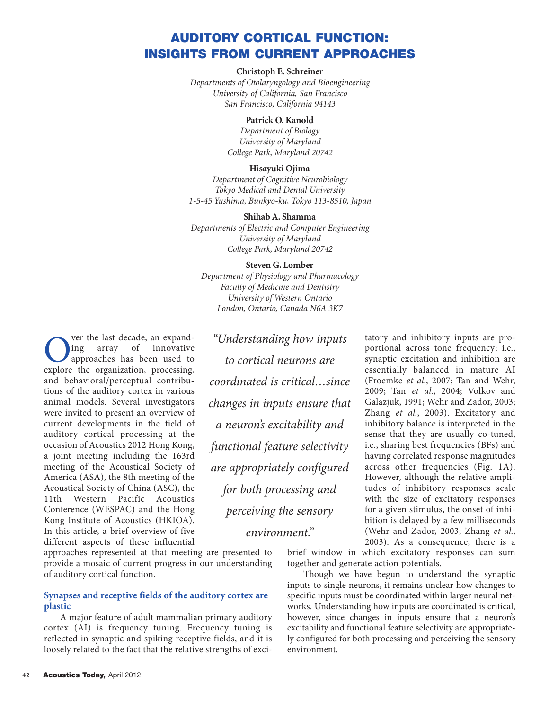## **AUDITORY CORTICAL FUNCTION: INSIGHTS FROM CURRENT APPROACHES**

**Christoph E. Schreiner**

*Departments of Otolaryngology and Bioengineering University of California, San Francisco San Francisco, California 94143*

**Patrick O. Kanold**

*Department of Biology University of Maryland College Park, Maryland 20742*

#### **Hisayuki Ojima**

*Department of Cognitive Neurobiology Tokyo Medical and Dental University 1-5-45 Yushima, Bunkyo-ku, Tokyo 113-8510, Japan*

**Shihab A. Shamma** *Departments of Electric and Computer Engineering University of Maryland College Park, Maryland 20742*

#### **Steven G. Lomber**

*Department of Physiology and Pharmacology Faculty of Medicine and Dentistry University of Western Ontario London, Ontario, Canada N6A 3K7*

Over the last decade, an expand-<br>
ing array of innovative<br>
approaches has been used to<br>
explore the organization processing ling array of innovative explore the organization, processing, and behavioral/perceptual contributions of the auditory cortex in various animal models. Several investigators were invited to present an overview of current developments in the field of auditory cortical processing at the occasion of Acoustics 2012 Hong Kong, a joint meeting including the 163rd meeting of the Acoustical Society of America (ASA), the 8th meeting of the Acoustical Society of China (ASC), the 11th Western Pacific Acoustics Conference (WESPAC) and the Hong Kong Institute of Acoustics (HKIOA). In this article, a brief overview of five different aspects of these influential

*"Understanding how inputs to cortical neurons are coordinated is critical…since changes in inputs ensure that a neuron's excitability and functional feature selectivity are appropriately configured for both processing and perceiving the sensory environment."*

approaches represented at that meeting are presented to provide a mosaic of current progress in our understanding of auditory cortical function.

#### **Synapses and receptive fields of the auditory cortex are plastic**

A major feature of adult mammalian primary auditory cortex (AI) is frequency tuning. Frequency tuning is reflected in synaptic and spiking receptive fields, and it is loosely related to the fact that the relative strengths of exci-

tatory and inhibitory inputs are proportional across tone frequency; i.e., synaptic excitation and inhibition are essentially balanced in mature AI (Froemke *et al.*, 2007; Tan and Wehr, 2009; Tan *et al*., 2004; Volkov and Galazjuk, 1991; Wehr and Zador, 2003; Zhang *et al*., 2003). Excitatory and inhibitory balance is interpreted in the sense that they are usually co-tuned, i.e., sharing best frequencies (BFs) and having correlated response magnitudes across other frequencies (Fig. 1A). However, although the relative amplitudes of inhibitory responses scale with the size of excitatory responses for a given stimulus, the onset of inhibition is delayed by a few milliseconds (Wehr and Zador, 2003; Zhang *et al*., 2003). As a consequence, there is a

brief window in which excitatory responses can sum together and generate action potentials.

Though we have begun to understand the synaptic inputs to single neurons, it remains unclear how changes to specific inputs must be coordinated within larger neural networks. Understanding how inputs are coordinated is critical, however, since changes in inputs ensure that a neuron's excitability and functional feature selectivity are appropriately configured for both processing and perceiving the sensory environment.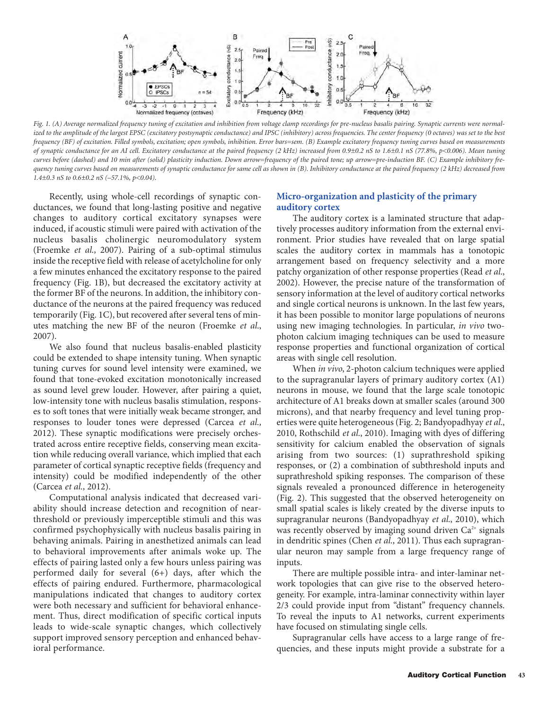

*Fig. 1. (A) Average normalized frequency tuning of excitation and inhibition from voltage clamp recordings for pre-nucleus basalis pairing. Synaptic currents were normalized to the amplitude of the largest EPSC (excitatory postsynaptic conductance) and IPSC (inhibitory) across frequencies. The center frequency (0 octaves) was set to the best frequency (BF) of excitation. Filled symbols, excitation; open symbols, inhibition. Error bars=sem. (B) Example excitatory frequency tuning curves based on measurements of synaptic conductance for an AI cell. Excitatory conductance at the paired frequency (2 kHz) increased from 0.9±0.2 nS to 1.6±0.1 nS (77.8%, p<0.006). Mean tuning curves before (dashed) and 10 min after (solid) plasticity induction. Down arrow=frequency of the paired tone; up arrow=pre-induction BF. (C) Example inhibitory frequency tuning curves based on measurements of synaptic conductance for same cell as shown in (B). Inhibitory conductance at the paired frequency (2 kHz) decreased from 1.4*±0.3 nS to 0.6±0.2 nS (-57.1%, p<0.04).

Recently, using whole-cell recordings of synaptic conductances, we found that long-lasting positive and negative changes to auditory cortical excitatory synapses were induced, if acoustic stimuli were paired with activation of the nucleus basalis cholinergic neuromodulatory system (Froemke *et al.,* 2007). Pairing of a sub-optimal stimulus inside the receptive field with release of acetylcholine for only a few minutes enhanced the excitatory response to the paired frequency (Fig. 1B), but decreased the excitatory activity at the former BF of the neurons. In addition, the inhibitory conductance of the neurons at the paired frequency was reduced temporarily (Fig. 1C), but recovered after several tens of minutes matching the new BF of the neuron (Froemke *et al.*, 2007).

We also found that nucleus basalis-enabled plasticity could be extended to shape intensity tuning. When synaptic tuning curves for sound level intensity were examined, we found that tone-evoked excitation monotonically increased as sound level grew louder. However, after pairing a quiet, low-intensity tone with nucleus basalis stimulation, responses to soft tones that were initially weak became stronger, and responses to louder tones were depressed (Carcea *et al.,* 2012). These synaptic modifications were precisely orchestrated across entire receptive fields, conserving mean excitation while reducing overall variance, which implied that each parameter of cortical synaptic receptive fields (frequency and intensity) could be modified independently of the other (Carcea *et al.,* 2012).

Computational analysis indicated that decreased variability should increase detection and recognition of nearthreshold or previously imperceptible stimuli and this was confirmed psychophysically with nucleus basalis pairing in behaving animals. Pairing in anesthetized animals can lead to behavioral improvements after animals woke up. The effects of pairing lasted only a few hours unless pairing was performed daily for several (6+) days, after which the effects of pairing endured. Furthermore, pharmacological manipulations indicated that changes to auditory cortex were both necessary and sufficient for behavioral enhancement. Thus, direct modification of specific cortical inputs leads to wide-scale synaptic changes, which collectively support improved sensory perception and enhanced behavioral performance.

#### **Micro-organization and plasticity of the primary auditory cortex**

The auditory cortex is a laminated structure that adaptively processes auditory information from the external environment. Prior studies have revealed that on large spatial scales the auditory cortex in mammals has a tonotopic arrangement based on frequency selectivity and a more patchy organization of other response properties (Read *et al.*, 2002). However, the precise nature of the transformation of sensory information at the level of auditory cortical networks and single cortical neurons is unknown. In the last few years, it has been possible to monitor large populations of neurons using new imaging technologies. In particular, *in vivo* twophoton calcium imaging techniques can be used to measure response properties and functional organization of cortical areas with single cell resolution.

When *in vivo*, 2-photon calcium techniques were applied to the supragranular layers of primary auditory cortex (A1) neurons in mouse, we found that the large scale tonotopic architecture of A1 breaks down at smaller scales (around 300 microns), and that nearby frequency and level tuning properties were quite heterogeneous (Fig. 2; Bandyopadhyay *et al.*, 2010, Rothschild *et al.*, 2010). Imaging with dyes of differing sensitivity for calcium enabled the observation of signals arising from two sources: (1) suprathreshold spiking responses, or (2) a combination of subthreshold inputs and suprathreshold spiking responses. The comparison of these signals revealed a pronounced difference in heterogeneity (Fig. 2). This suggested that the observed heterogeneity on small spatial scales is likely created by the diverse inputs to supragranular neurons (Bandyopadhyay *et al.*, 2010), which was recently observed by imaging sound driven  $Ca^{2+}$  signals in dendritic spines (Chen *et al.,* 2011). Thus each supragranular neuron may sample from a large frequency range of inputs.

There are multiple possible intra- and inter-laminar network topologies that can give rise to the observed heterogeneity. For example, intra-laminar connectivity within layer 2/3 could provide input from "distant" frequency channels. To reveal the inputs to A1 networks, current experiments have focused on stimulating single cells.

Supragranular cells have access to a large range of frequencies, and these inputs might provide a substrate for a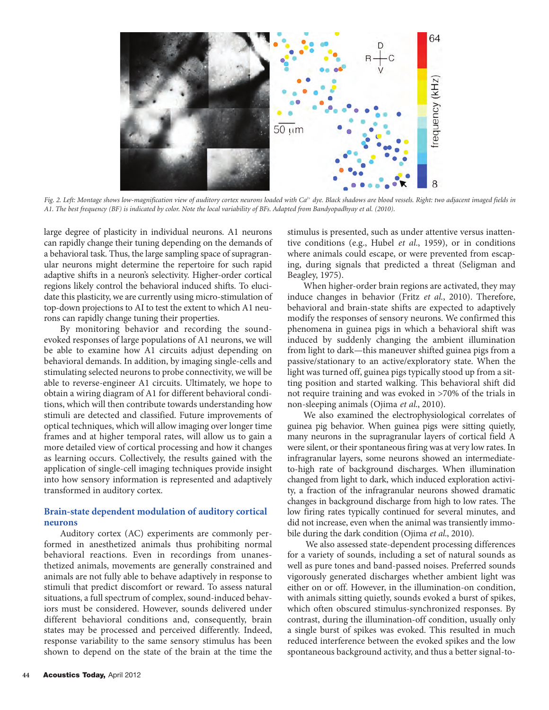

Fig. 2. Left: Montage shows low-magnification view of auditory cortex neurons loaded with Ca<sup>2+</sup> dye. Black shadows are blood vessels. Right: two adjacent imaged fields in *A1. The best frequency (BF) is indicated by color. Note the local variability of BFs. Adapted from Bandyopadhyay et al. (2010).*

large degree of plasticity in individual neurons. A1 neurons can rapidly change their tuning depending on the demands of a behavioral task. Thus, the large sampling space of supragranular neurons might determine the repertoire for such rapid adaptive shifts in a neuron's selectivity. Higher-order cortical regions likely control the behavioral induced shifts. To elucidate this plasticity, we are currently using micro-stimulation of top-down projections to AI to test the extent to which A1 neurons can rapidly change tuning their properties.

By monitoring behavior and recording the soundevoked responses of large populations of A1 neurons, we will be able to examine how A1 circuits adjust depending on behavioral demands. In addition, by imaging single-cells and stimulating selected neurons to probe connectivity, we will be able to reverse-engineer A1 circuits. Ultimately, we hope to obtain a wiring diagram of A1 for different behavioral conditions, which will then contribute towards understanding how stimuli are detected and classified. Future improvements of optical techniques, which will allow imaging over longer time frames and at higher temporal rates, will allow us to gain a more detailed view of cortical processing and how it changes as learning occurs. Collectively, the results gained with the application of single-cell imaging techniques provide insight into how sensory information is represented and adaptively transformed in auditory cortex.

#### **Brain-state dependent modulation of auditory cortical neurons**

Auditory cortex (AC) experiments are commonly performed in anesthetized animals thus prohibiting normal behavioral reactions. Even in recordings from unanesthetized animals, movements are generally constrained and animals are not fully able to behave adaptively in response to stimuli that predict discomfort or reward. To assess natural situations, a full spectrum of complex, sound-induced behaviors must be considered. However, sounds delivered under different behavioral conditions and, consequently, brain states may be processed and perceived differently. Indeed, response variability to the same sensory stimulus has been shown to depend on the state of the brain at the time the

stimulus is presented, such as under attentive versus inattentive conditions (e.g., Hubel *et al.*, 1959), or in conditions where animals could escape, or were prevented from escaping, during signals that predicted a threat (Seligman and Beagley, 1975).

When higher-order brain regions are activated, they may induce changes in behavior (Fritz *et al.*, 2010). Therefore, behavioral and brain-state shifts are expected to adaptively modify the responses of sensory neurons. We confirmed this phenomena in guinea pigs in which a behavioral shift was induced by suddenly changing the ambient illumination from light to dark—this maneuver shifted guinea pigs from a passive/stationary to an active/exploratory state. When the light was turned off, guinea pigs typically stood up from a sitting position and started walking. This behavioral shift did not require training and was evoked in >70% of the trials in non-sleeping animals (Ojima *et al.*, 2010).

We also examined the electrophysiological correlates of guinea pig behavior. When guinea pigs were sitting quietly, many neurons in the supragranular layers of cortical field A were silent, or their spontaneous firing was at very low rates. In infragranular layers, some neurons showed an intermediateto-high rate of background discharges. When illumination changed from light to dark, which induced exploration activity, a fraction of the infragranular neurons showed dramatic changes in background discharge from high to low rates. The low firing rates typically continued for several minutes, and did not increase, even when the animal was transiently immobile during the dark condition (Ojima *et al.*, 2010).

We also assessed state-dependent processing differences for a variety of sounds, including a set of natural sounds as well as pure tones and band-passed noises. Preferred sounds vigorously generated discharges whether ambient light was either on or off. However, in the illumination-on condition, with animals sitting quietly, sounds evoked a burst of spikes, which often obscured stimulus-synchronized responses. By contrast, during the illumination-off condition, usually only a single burst of spikes was evoked. This resulted in much reduced interference between the evoked spikes and the low spontaneous background activity, and thus a better signal-to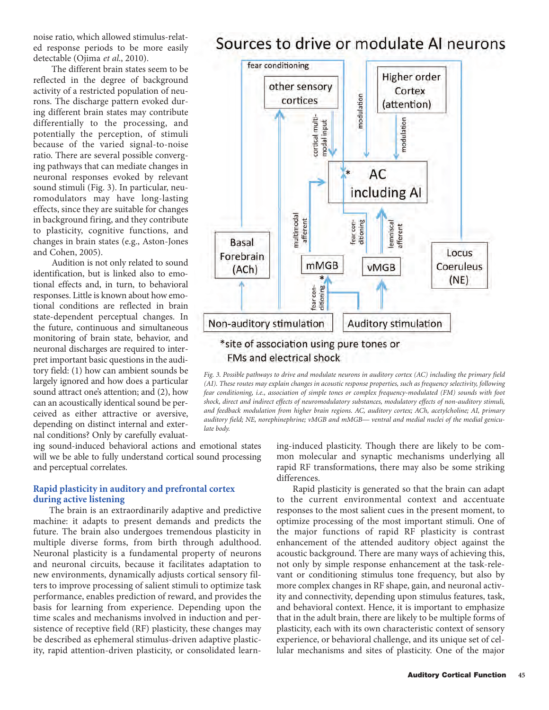noise ratio, which allowed stimulus-related response periods to be more easily detectable (Ojima *et al.*, 2010).

The different brain states seem to be reflected in the degree of background activity of a restricted population of neurons. The discharge pattern evoked during different brain states may contribute differentially to the processing, and potentially the perception, of stimuli because of the varied signal-to-noise ratio. There are several possible converging pathways that can mediate changes in neuronal responses evoked by relevant sound stimuli (Fig. 3). In particular, neuromodulators may have long-lasting effects, since they are suitable for changes in background firing, and they contribute to plasticity, cognitive functions, and changes in brain states (e.g., Aston-Jones and Cohen, 2005).

Audition is not only related to sound identification, but is linked also to emotional effects and, in turn, to behavioral responses. Little is known about how emotional conditions are reflected in brain state-dependent perceptual changes. In the future, continuous and simultaneous monitoring of brain state, behavior, and neuronal discharges are required to interpret important basic questions in the auditory field: (1) how can ambient sounds be largely ignored and how does a particular sound attract one's attention; and (2), how can an acoustically identical sound be perceived as either attractive or aversive, depending on distinct internal and external conditions? Only by carefully evaluat-

#### ing sound-induced behavioral actions and emotional states will we be able to fully understand cortical sound processing and perceptual correlates.

#### **Rapid plasticity in auditory and prefrontal cortex during active listening**

The brain is an extraordinarily adaptive and predictive machine: it adapts to present demands and predicts the future. The brain also undergoes tremendous plasticity in multiple diverse forms, from birth through adulthood. Neuronal plasticity is a fundamental property of neurons and neuronal circuits, because it facilitates adaptation to new environments, dynamically adjusts cortical sensory filters to improve processing of salient stimuli to optimize task performance, enables prediction of reward, and provides the basis for learning from experience. Depending upon the time scales and mechanisms involved in induction and persistence of receptive field (RF) plasticity, these changes may be described as ephemeral stimulus-driven adaptive plasticity, rapid attention-driven plasticity, or consolidated learn-

# Sources to drive or modulate AI neurons



*Fig. 3. Possible pathways to drive and modulate neurons in auditory cortex (AC) including the primary field (AI). These routes may explain changes in acoustic response properties, such as frequency selectivity, following fear conditioning, i.e., association of simple tones or complex frequency-modulated (FM) sounds with foot shock, direct and indirect effects of neuromodulatory substances, modulatory effects of non-auditory stimuli, and feedback modulation from higher brain regions. AC, auditory cortex; ACh, acetylcholine; AI, primary auditory field; NE, norephinephrine; vMGB and mMGB— ventral and medial nuclei of the medial geniculate body.*

ing-induced plasticity. Though there are likely to be common molecular and synaptic mechanisms underlying all rapid RF transformations, there may also be some striking differences.

Rapid plasticity is generated so that the brain can adapt to the current environmental context and accentuate responses to the most salient cues in the present moment, to optimize processing of the most important stimuli. One of the major functions of rapid RF plasticity is contrast enhancement of the attended auditory object against the acoustic background. There are many ways of achieving this, not only by simple response enhancement at the task-relevant or conditioning stimulus tone frequency, but also by more complex changes in RF shape, gain, and neuronal activity and connectivity, depending upon stimulus features, task, and behavioral context. Hence, it is important to emphasize that in the adult brain, there are likely to be multiple forms of plasticity, each with its own characteristic context of sensory experience, or behavioral challenge, and its unique set of cellular mechanisms and sites of plasticity. One of the major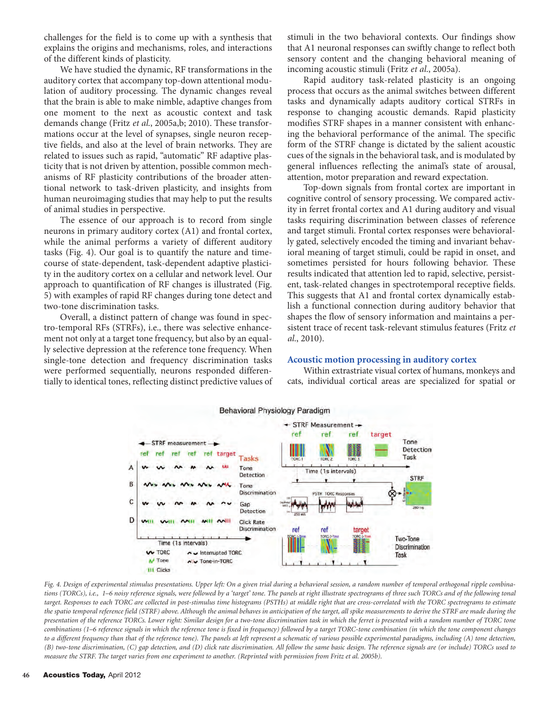challenges for the field is to come up with a synthesis that explains the origins and mechanisms, roles, and interactions of the different kinds of plasticity.

We have studied the dynamic, RF transformations in the auditory cortex that accompany top-down attentional modulation of auditory processing. The dynamic changes reveal that the brain is able to make nimble, adaptive changes from one moment to the next as acoustic context and task demands change (Fritz *et al.*, 2005a,b; 2010). These transformations occur at the level of synapses, single neuron receptive fields, and also at the level of brain networks. They are related to issues such as rapid, "automatic" RF adaptive plasticity that is not driven by attention, possible common mechanisms of RF plasticity contributions of the broader attentional network to task-driven plasticity, and insights from human neuroimaging studies that may help to put the results of animal studies in perspective.

The essence of our approach is to record from single neurons in primary auditory cortex (A1) and frontal cortex, while the animal performs a variety of different auditory tasks (Fig. 4). Our goal is to quantify the nature and timecourse of state-dependent, task-dependent adaptive plasticity in the auditory cortex on a cellular and network level. Our approach to quantification of RF changes is illustrated (Fig. 5) with examples of rapid RF changes during tone detect and two-tone discrimination tasks.

Overall, a distinct pattern of change was found in spectro-temporal RFs (STRFs), i.e., there was selective enhancement not only at a target tone frequency, but also by an equally selective depression at the reference tone frequency. When single-tone detection and frequency discrimination tasks were performed sequentially, neurons responded differentially to identical tones, reflecting distinct predictive values of stimuli in the two behavioral contexts. Our findings show that A1 neuronal responses can swiftly change to reflect both sensory content and the changing behavioral meaning of incoming acoustic stimuli (Fritz *et al.*, 2005a).

Rapid auditory task-related plasticity is an ongoing process that occurs as the animal switches between different tasks and dynamically adapts auditory cortical STRFs in response to changing acoustic demands. Rapid plasticity modifies STRF shapes in a manner consistent with enhancing the behavioral performance of the animal. The specific form of the STRF change is dictated by the salient acoustic cues of the signals in the behavioral task, and is modulated by general influences reflecting the animal's state of arousal, attention, motor preparation and reward expectation.

Top-down signals from frontal cortex are important in cognitive control of sensory processing. We compared activity in ferret frontal cortex and A1 during auditory and visual tasks requiring discrimination between classes of reference and target stimuli. Frontal cortex responses were behaviorally gated, selectively encoded the timing and invariant behavioral meaning of target stimuli, could be rapid in onset, and sometimes persisted for hours following behavior. These results indicated that attention led to rapid, selective, persistent, task-related changes in spectrotemporal receptive fields. This suggests that A1 and frontal cortex dynamically establish a functional connection during auditory behavior that shapes the flow of sensory information and maintains a persistent trace of recent task-relevant stimulus features (Fritz *et al.*, 2010).

### **Acoustic motion processing in auditory cortex**

Within extrastriate visual cortex of humans, monkeys and cats, individual cortical areas are specialized for spatial or



*Fig. 4. Design of experimental stimulus presentations. Upper left: On a given trial during a behavioral session, a random number of temporal orthogonal ripple combinations (TORCs), i.e., 1–6 noisy reference signals, were followed by a 'target' tone. The panels at right illustrate spectrograms of three such TORCs and of the following tonal target. Responses to each TORC are collected in post-stimulus time histograms (PSTHs) at middle right that are cross-correlated with the TORC spectrograms to estimate the spatio temporal reference field (STRF) above. Although the animal behaves in anticipation of the target, all spike measurements to derive the STRF are made during the presentation of the reference TORCs. Lower right: Similar design for a two-tone discrimination task in which the ferret is presented with a random number of TORC tone combinations (1–6 reference signals in which the reference tone is fixed in frequency) followed by a target TORC-tone combination (in which the tone component changes to a different frequency than that of the reference tone). The panels at left represent a schematic of various possible experimental paradigms, including (A) tone detection, (B) two-tone discrimination, (C) gap detection, and (D) click rate discrimination. All follow the same basic design. The reference signals are (or include) TORCs used to measure the STRF. The target varies from one experiment to another. (Reprinted with permission from Fritz et al. 2005b).*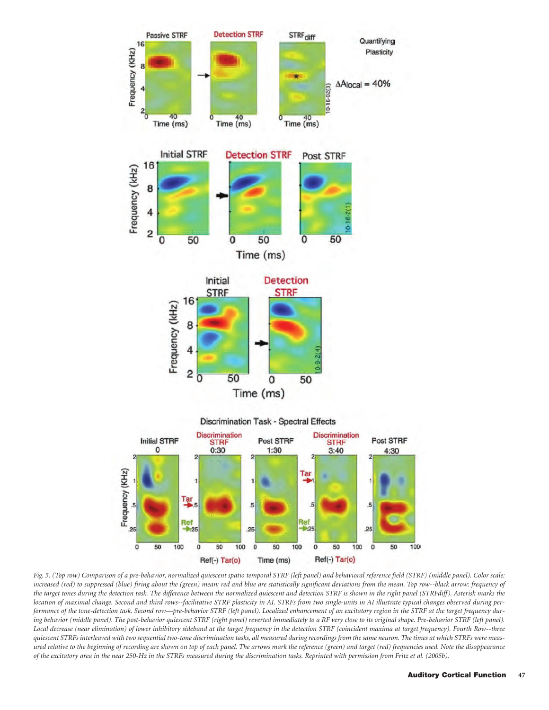

*Fig. 5. (Top row) Comparison of a pre-behavior, normalized quiescent spatio temporal STRF (left panel) and behavioral reference field (STRF) (middle panel). Color scale: increased (red) to suppressed (blue) firing about the (green) mean; red and blue are statistically significant deviations from the mean. Top row--black arrow: frequency of the target tones during the detection task. The difference between the normalized quiescent and detection STRF is shown in the right panel (STRFdiff). Asterisk marks the location of maximal change. Second and third rows--facilitative STRF plasticity in AI. STRFs from two single-units in AI illustrate typical changes observed during performance of the tone-detection task. Second row—pre-behavior STRF (left panel). Localized enhancement of an excitatory region in the STRF at the target frequency during behavior (middle panel). The post-behavior quiescent STRF (right panel) reverted immediately to a RF very close to its original shape. Pre-behavior STRF (left panel). Local decrease (near elimination) of lower inhibitory sideband at the target frequency in the detection STRF (coincident maxima at target frequency). Fourth Row--three quiescent STRFs interleaved with two sequential two-tone discrimination tasks, all measured during recordings from the same neuron. The times at which STRFs were measured relative to the beginning of recording are shown on top of each panel. The arrows mark the reference (green) and target (red) frequencies used. Note the disappearance of the excitatory area in the near 250-Hz in the STRFs measured during the discrimination tasks. Reprinted with permission from Fritz et al. (2005b).*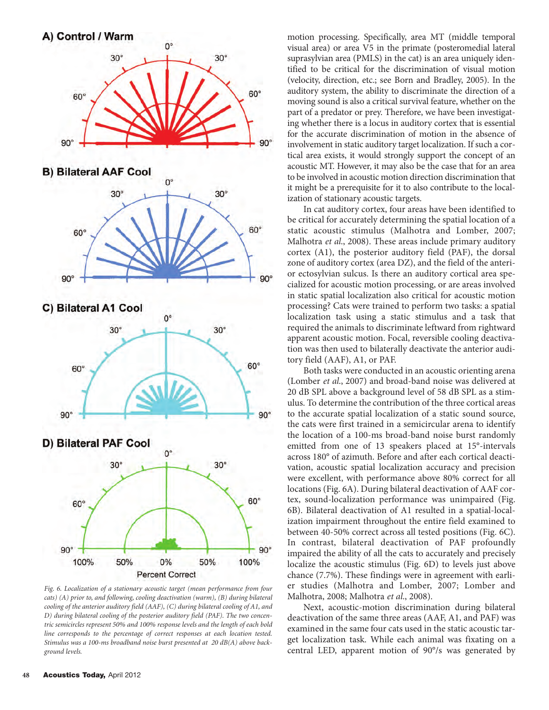A) Control / Warm



*Fig. 6. Localization of a stationary acoustic target (mean performance from four cats) (A) prior to, and following, cooling deactivation (warm), (B) during bilateral cooling of the anterior auditory field (AAF), (C) during bilateral cooling of A1, and D) during bilateral cooling of the posterior auditory field (PAF). The two concentric semicircles represent 50% and 100% response levels and the length of each bold line corresponds to the percentage of correct responses at each location tested. Stimulus was a 100-ms broadband noise burst presented at 20 dB(A) above background levels.*

motion processing. Specifically, area MT (middle temporal visual area) or area V5 in the primate (posteromedial lateral suprasylvian area (PMLS) in the cat) is an area uniquely identified to be critical for the discrimination of visual motion (velocity, direction, etc.; see Born and Bradley, 2005). In the auditory system, the ability to discriminate the direction of a moving sound is also a critical survival feature, whether on the part of a predator or prey. Therefore, we have been investigating whether there is a locus in auditory cortex that is essential for the accurate discrimination of motion in the absence of involvement in static auditory target localization. If such a cortical area exists, it would strongly support the concept of an acoustic MT. However, it may also be the case that for an area to be involved in acoustic motion direction discrimination that it might be a prerequisite for it to also contribute to the localization of stationary acoustic targets.

In cat auditory cortex, four areas have been identified to be critical for accurately determining the spatial location of a static acoustic stimulus (Malhotra and Lomber, 2007; Malhotra *et al.*, 2008). These areas include primary auditory cortex (A1), the posterior auditory field (PAF), the dorsal zone of auditory cortex (area DZ), and the field of the anterior ectosylvian sulcus. Is there an auditory cortical area specialized for acoustic motion processing, or are areas involved in static spatial localization also critical for acoustic motion processing? Cats were trained to perform two tasks: a spatial localization task using a static stimulus and a task that required the animals to discriminate leftward from rightward apparent acoustic motion. Focal, reversible cooling deactivation was then used to bilaterally deactivate the anterior auditory field (AAF), A1, or PAF.

Both tasks were conducted in an acoustic orienting arena (Lomber *et al.*, 2007) and broad-band noise was delivered at 20 dB SPL above a background level of 58 dB SPL as a stimulus. To determine the contribution of the three cortical areas to the accurate spatial localization of a static sound source, the cats were first trained in a semicircular arena to identify the location of a 100-ms broad-band noise burst randomly emitted from one of 13 speakers placed at 15°-intervals across 180° of azimuth. Before and after each cortical deactivation, acoustic spatial localization accuracy and precision were excellent, with performance above 80% correct for all locations (Fig. 6A). During bilateral deactivation of AAF cortex, sound-localization performance was unimpaired (Fig. 6B). Bilateral deactivation of A1 resulted in a spatial-localization impairment throughout the entire field examined to between 40-50% correct across all tested positions (Fig. 6C). In contrast, bilateral deactivation of PAF profoundly impaired the ability of all the cats to accurately and precisely localize the acoustic stimulus (Fig. 6D) to levels just above chance (7.7%). These findings were in agreement with earlier studies (Malhotra and Lomber, 2007; Lomber and Malhotra, 2008; Malhotra *et al.*, 2008).

Next, acoustic-motion discrimination during bilateral deactivation of the same three areas (AAF, A1, and PAF) was examined in the same four cats used in the static acoustic target localization task. While each animal was fixating on a central LED, apparent motion of 90°/s was generated by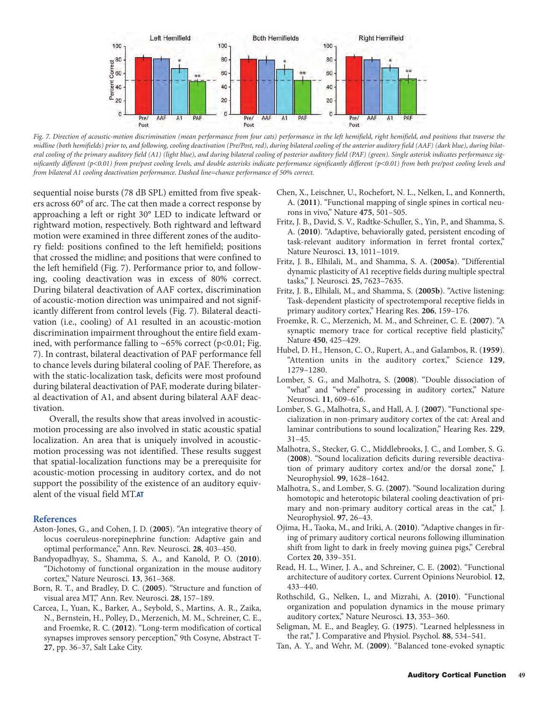

*Fig. 7. Direction of acoustic-motion discrimination (mean performance from four cats) performance in the left hemifield, right hemifield, and positions that traverse the midline (both hemifields) prior to, and following, cooling deactivation (Pre/Post, red), during bilateral cooling of the anterior auditory field (AAF) (dark blue), during bilateral cooling of the primary auditory field (A1) (light blue), and during bilateral cooling of posterior auditory field (PAF) (green). Single asterisk indicates performance significantly different (p<0.01) from pre/post cooling levels, and double asterisks indicate performance significantly different (p<0.01) from both pre/post cooling levels and from bilateral A1 cooling deactivation performance. Dashed line=chance performance of 50% correct.*

sequential noise bursts (78 dB SPL) emitted from five speakers across 60° of arc. The cat then made a correct response by approaching a left or right 30° LED to indicate leftward or rightward motion, respectively. Both rightward and leftward motion were examined in three different zones of the auditory field: positions confined to the left hemifield; positions that crossed the midline; and positions that were confined to the left hemifield (Fig. 7). Performance prior to, and following, cooling deactivation was in excess of 80% correct. During bilateral deactivation of AAF cortex, discrimination of acoustic-motion direction was unimpaired and not significantly different from control levels (Fig. 7). Bilateral deactivation (i.e., cooling) of A1 resulted in an acoustic-motion discrimination impairment throughout the entire field examined, with performance falling to  $\sim 65\%$  correct (p<0.01; Fig. 7). In contrast, bilateral deactivation of PAF performance fell to chance levels during bilateral cooling of PAF. Therefore, as with the static-localization task, deficits were most profound during bilateral deactivation of PAF, moderate during bilateral deactivation of A1, and absent during bilateral AAF deactivation.

Overall, the results show that areas involved in acousticmotion processing are also involved in static acoustic spatial localization. An area that is uniquely involved in acousticmotion processing was not identified. These results suggest that spatial-localization functions may be a prerequisite for acoustic-motion processing in auditory cortex, and do not support the possibility of the existence of an auditory equivalent of the visual field MT.**AT**

#### **References**

- Aston-Jones, G., and Cohen, J. D. (**2005**). "An integrative theory of locus coeruleus-norepinephrine function: Adaptive gain and optimal performance," Ann. Rev. Neurosci. **28**, 403–450.
- Bandyopadhyay, S., Shamma, S. A., and Kanold, P. O. (**2010**). "Dichotomy of functional organization in the mouse auditory cortex," Nature Neurosci. **13**, 361–368.
- Born, R. T., and Bradley, D. C. (**2005**). "Structure and function of visual area MT," Ann. Rev. Neurosci. **28**, 157–189.
- Carcea, I., Yuan, K., Barker, A., Seybold, S., Martins, A. R., Zaika, N., Bernstein, H., Polley, D., Merzenich, M. M., Schreiner, C. E., and Froemke, R. C. (**2012**). "Long-term modification of cortical synapses improves sensory perception," 9th Cosyne, Abstract T-**27**, pp. 36–37, Salt Lake City.
- Chen, X., Leischner, U., Rochefort, N. L., Nelken, I., and Konnerth, A. (**2011**). "Functional mapping of single spines in cortical neurons in vivo," Nature **475**, 501–505.
- Fritz, J. B., David, S. V., Radtke-Schuller, S., Yin, P., and Shamma, S. A. (**2010**). "Adaptive, behaviorally gated, persistent encoding of task-relevant auditory information in ferret frontal cortex," Nature Neurosci. **13**, 1011–1019.
- Fritz, J. B., Elhilali, M., and Shamma, S. A. (**2005a**). "Differential dynamic plasticity of A1 receptive fields during multiple spectral tasks," J. Neurosci. **25**, 7623–7635.
- Fritz, J. B., Elhilali, M., and Shamma, S. (**2005b**). "Active listening: Task-dependent plasticity of spectrotemporal receptive fields in primary auditory cortex," Hearing Res. **206**, 159–176.
- Froemke, R. C., Merzenich, M. M., and Schreiner, C. E. (**2007**). "A synaptic memory trace for cortical receptive field plasticity," Nature **450**, 425–429.
- Hubel, D. H., Henson, C. O., Rupert, A., and Galambos, R. (**1959**). "Attention units in the auditory cortex," Science **129**, 1279–1280.
- Lomber, S. G., and Malhotra, S. (**2008**). "Double dissociation of "what" and "where" processing in auditory cortex," Nature Neurosci. **11**, 609–616.
- Lomber, S. G., Malhotra, S., and Hall, A. J. (**2007**). "Functional specialization in non-primary auditory cortex of the cat: Areal and laminar contributions to sound localization," Hearing Res. **229**, 31–45.
- Malhotra, S., Stecker, G. C., Middlebrooks, J. C., and Lomber, S. G. (**2008**). "Sound localization deficits during reversible deactivation of primary auditory cortex and/or the dorsal zone," J. Neurophysiol. **99**, 1628–1642.
- Malhotra, S., and Lomber, S. G. (**2007**). "Sound localization during homotopic and heterotopic bilateral cooling deactivation of primary and non-primary auditory cortical areas in the cat," J. Neurophysiol. **97**, 26–43.
- Ojima, H., Taoka, M., and Iriki, A. (**2010**). "Adaptive changes in firing of primary auditory cortical neurons following illumination shift from light to dark in freely moving guinea pigs," Cerebral Cortex **20**, 339–351.
- Read, H. L., Winer, J. A., and Schreiner, C. E. (**2002**). "Functional architecture of auditory cortex. Current Opinions Neurobiol. **12**, 433–440.
- Rothschild, G., Nelken, I., and Mizrahi, A. **(2010**). "Functional organization and population dynamics in the mouse primary auditory cortex," Nature Neurosci. **13**, 353–360.
- Seligman, M. E., and Beagley, G. (**1975**). "Learned helplessness in the rat," J. Comparative and Physiol. Psychol. **88**, 534–541.
- Tan, A. Y., and Wehr, M. (**2009**). "Balanced tone-evoked synaptic